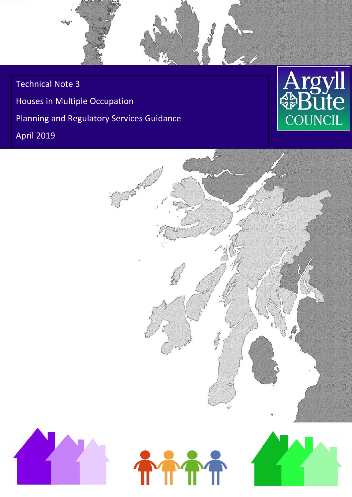Technical Note 3 Houses in Multiple Occupation Planning and Regulatory Services Guidance April 2019





电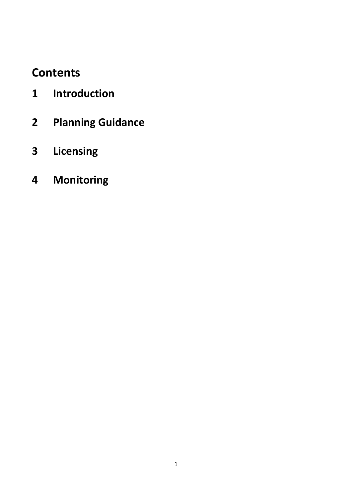# **Contents**

- **Introduction**
- **Planning Guidance**
- **Licensing**
- **Monitoring**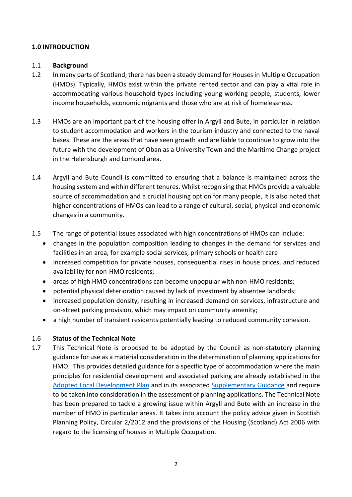### **1.0 INTRODUCTION**

#### 1.1 **Background**

- 1.2 In many parts of Scotland, there has been a steady demand for Houses in Multiple Occupation (HMOs). Typically, HMOs exist within the private rented sector and can play a vital role in accommodating various household types including young working people, students, lower income households, economic migrants and those who are at risk of homelessness.
- 1.3 HMOs are an important part of the housing offer in Argyll and Bute, in particular in relation to student accommodation and workers in the tourism industry and connected to the naval bases. These are the areas that have seen growth and are liable to continue to grow into the future with the development of Oban as a University Town and the Maritime Change project in the Helensburgh and Lomond area.
- 1.4 Argyll and Bute Council is committed to ensuring that a balance is maintained across the housing system and within different tenures. Whilst recognising that HMOs provide a valuable source of accommodation and a crucial housing option for many people, it is also noted that higher concentrations of HMOs can lead to a range of cultural, social, physical and economic changes in a community.
- 1.5 The range of potential issues associated with high concentrations of HMOs can include:
	- changes in the population composition leading to changes in the demand for services and facilities in an area, for example social services, primary schools or health care
	- increased competition for private houses, consequential rises in house prices, and reduced availability for non-HMO residents;
	- areas of high HMO concentrations can become unpopular with non-HMO residents;
	- potential physical deterioration caused by lack of investment by absentee landlords;
	- increased population density, resulting in increased demand on services, infrastructure and on-street parking provision, which may impact on community amenity;
	- a high number of transient residents potentially leading to reduced community cohesion.

### 1.6 **Status of the Technical Note**

1.7 This Technical Note is proposed to be adopted by the Council as non-statutory planning guidance for use as a material consideration in the determination of planning applications for HMO. This provides detailed guidance for a specific type of accommodation where the main principles for residential development and associated parking are already established in the [Adopted Local Development Plan](http://www.argyll-bute.gov.uk/ldp) and in its associated [Supplementary Guidance](http://www.argyll-bute.gov.uk/ldp) and require to be taken into consideration in the assessment of planning applications. The Technical Note has been prepared to tackle a growing issue within Argyll and Bute with an increase in the number of HMO in particular areas. It takes into account the policy advice given in Scottish Planning Policy, Circular 2/2012 and the provisions of the Housing (Scotland) Act 2006 with regard to the licensing of houses in Multiple Occupation.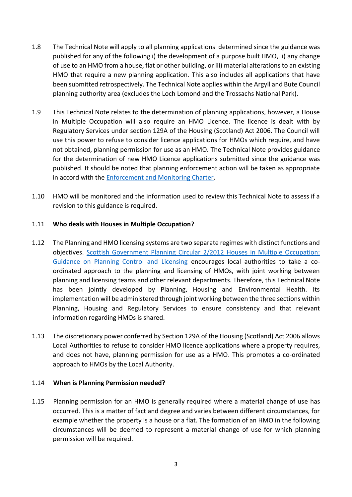- 1.8 The Technical Note will apply to all planning applications determined since the guidance was published for any of the following i) the development of a purpose built HMO, ii) any change of use to an HMO from a house, flat or other building, or iii) material alterations to an existing HMO that require a new planning application. This also includes all applications that have been submitted retrospectively. The Technical Note applies within the Argyll and Bute Council planning authority area (excludes the Loch Lomond and the Trossachs National Park).
- 1.9 This Technical Note relates to the determination of planning applications, however, a House in Multiple Occupation will also require an HMO Licence. The licence is dealt with by Regulatory Services under section 129A of the Housing (Scotland) Act 2006. The Council will use this power to refuse to consider licence applications for HMOs which require, and have not obtained, planning permission for use as an HMO. The Technical Note provides guidance for the determination of new HMO Licence applications submitted since the guidance was published. It should be noted that planning enforcement action will be taken as appropriate in accord with the [Enforcement and Monitoring Charter.](https://www.argyll-bute.gov.uk/sites/default/files/planning_and_monitoring_charter_update_and_approved_june_2018.pdf)
- 1.10 HMO will be monitored and the information used to review this Technical Note to assess if a revision to this guidance is required.

### 1.11 **Who deals with Houses in Multiple Occupation?**

- 1.12 The Planning and HMO licensing systems are two separate regimes with distinct functions and objectives. [Scottish Government Planning Circular 2/2012 Houses in Multiple Occupation:](https://www.gov.scot/binaries/content/documents/govscot/publications/guidance/2012/06/houses-multiple-occupation-guidance-planning-control-licensing/documents/00396049-pdf/00396049-pdf/govscot%3Adocument)  [Guidance on Planning Control and Licensing](https://www.gov.scot/binaries/content/documents/govscot/publications/guidance/2012/06/houses-multiple-occupation-guidance-planning-control-licensing/documents/00396049-pdf/00396049-pdf/govscot%3Adocument) encourages local authorities to take a coordinated approach to the planning and licensing of HMOs, with joint working between planning and licensing teams and other relevant departments. Therefore, this Technical Note has been jointly developed by Planning, Housing and Environmental Health. Its implementation will be administered through joint working between the three sections within Planning, Housing and Regulatory Services to ensure consistency and that relevant information regarding HMOs is shared.
- 1.13 The discretionary power conferred by Section 129A of the Housing (Scotland) Act 2006 allows Local Authorities to refuse to consider HMO licence applications where a property requires, and does not have, planning permission for use as a HMO. This promotes a co-ordinated approach to HMOs by the Local Authority.

### 1.14 **When is Planning Permission needed?**

1.15 Planning permission for an HMO is generally required where a material change of use has occurred. This is a matter of fact and degree and varies between different circumstances, for example whether the property is a house or a flat. The formation of an HMO in the following circumstances will be deemed to represent a material change of use for which planning permission will be required.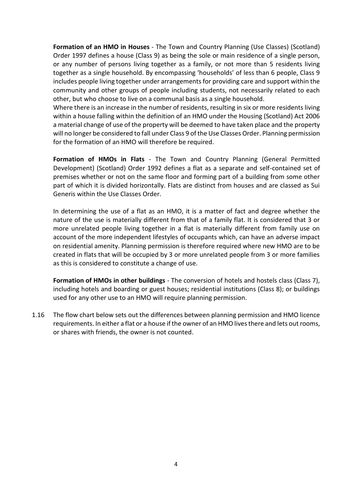**Formation of an HMO in Houses** - The Town and Country Planning (Use Classes) (Scotland) Order 1997 defines a house (Class 9) as being the sole or main residence of a single person, or any number of persons living together as a family, or not more than 5 residents living together as a single household. By encompassing 'households' of less than 6 people, Class 9 includes people living together under arrangements for providing care and support within the community and other groups of people including students, not necessarily related to each other, but who choose to live on a communal basis as a single household.

Where there is an increase in the number of residents, resulting in six or more residents living within a house falling within the definition of an HMO under the Housing (Scotland) Act 2006 a material change of use of the property will be deemed to have taken place and the property will no longer be considered to fall under Class 9 of the Use Classes Order. Planning permission for the formation of an HMO will therefore be required.

**Formation of HMOs in Flats** - The Town and Country Planning (General Permitted Development) (Scotland) Order 1992 defines a flat as a separate and self-contained set of premises whether or not on the same floor and forming part of a building from some other part of which it is divided horizontally. Flats are distinct from houses and are classed as Sui Generis within the Use Classes Order.

In determining the use of a flat as an HMO, it is a matter of fact and degree whether the nature of the use is materially different from that of a family flat. It is considered that 3 or more unrelated people living together in a flat is materially different from family use on account of the more independent lifestyles of occupants which, can have an adverse impact on residential amenity. Planning permission is therefore required where new HMO are to be created in flats that will be occupied by 3 or more unrelated people from 3 or more families as this is considered to constitute a change of use.

**Formation of HMOs in other buildings** - The conversion of hotels and hostels class (Class 7), including hotels and boarding or guest houses; residential institutions (Class 8); or buildings used for any other use to an HMO will require planning permission.

1.16 The flow chart below sets out the differences between planning permission and HMO licence requirements. In either a flat or a house if the owner of an HMO lives there and lets out rooms, or shares with friends, the owner is not counted.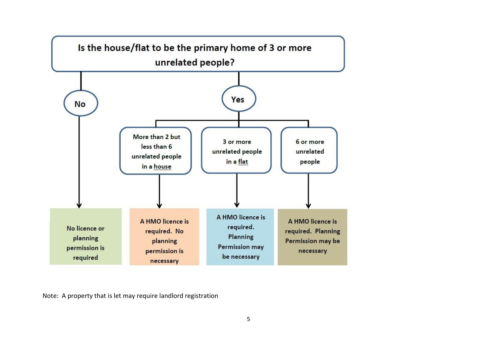

Note: A property that is let may require landlord registration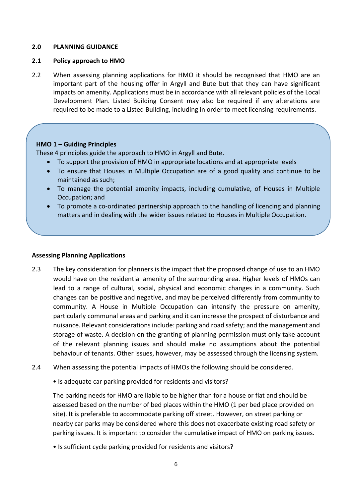#### **2.0 PLANNING GUIDANCE**

#### **2.1 Policy approach to HMO**

2.2 When assessing planning applications for HMO it should be recognised that HMO are an important part of the housing offer in Argyll and Bute but that they can have significant impacts on amenity. Applications must be in accordance with all relevant policies of the Local Development Plan. Listed Building Consent may also be required if any alterations are required to be made to a Listed Building, including in order to meet licensing requirements.

### **HMO 1 – Guiding Principles**

These 4 principles guide the approach to HMO in Argyll and Bute.

- To support the provision of HMO in appropriate locations and at appropriate levels
- To ensure that Houses in Multiple Occupation are of a good quality and continue to be maintained as such;
- To manage the potential amenity impacts, including cumulative, of Houses in Multiple Occupation; and
- To promote a co-ordinated partnership approach to the handling of licencing and planning matters and in dealing with the wider issues related to Houses in Multiple Occupation.

#### **Assessing Planning Applications**

- 2.3 The key consideration for planners is the impact that the proposed change of use to an HMO would have on the residential amenity of the surrounding area. Higher levels of HMOs can lead to a range of cultural, social, physical and economic changes in a community. Such changes can be positive and negative, and may be perceived differently from community to community. A House in Multiple Occupation can intensify the pressure on amenity, particularly communal areas and parking and it can increase the prospect of disturbance and nuisance. Relevant considerations include: parking and road safety; and the management and storage of waste. A decision on the granting of planning permission must only take account of the relevant planning issues and should make no assumptions about the potential behaviour of tenants. Other issues, however, may be assessed through the licensing system.
- 2.4 When assessing the potential impacts of HMOs the following should be considered.
	- Is adequate car parking provided for residents and visitors?

The parking needs for HMO are liable to be higher than for a house or flat and should be assessed based on the number of bed places within the HMO (1 per bed place provided on site). It is preferable to accommodate parking off street. However, on street parking or nearby car parks may be considered where this does not exacerbate existing road safety or parking issues. It is important to consider the cumulative impact of HMO on parking issues.

• Is sufficient cycle parking provided for residents and visitors?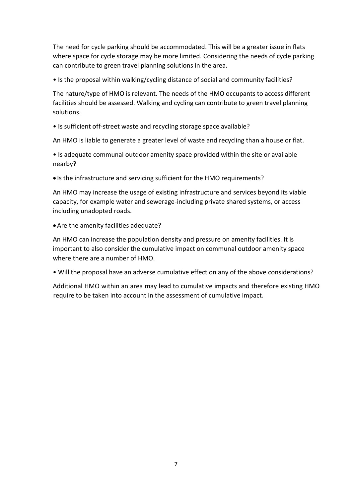The need for cycle parking should be accommodated. This will be a greater issue in flats where space for cycle storage may be more limited. Considering the needs of cycle parking can contribute to green travel planning solutions in the area.

• Is the proposal within walking/cycling distance of social and community facilities?

The nature/type of HMO is relevant. The needs of the HMO occupants to access different facilities should be assessed. Walking and cycling can contribute to green travel planning solutions.

• Is sufficient off-street waste and recycling storage space available?

An HMO is liable to generate a greater level of waste and recycling than a house or flat.

• Is adequate communal outdoor amenity space provided within the site or available nearby?

• Is the infrastructure and servicing sufficient for the HMO requirements?

An HMO may increase the usage of existing infrastructure and services beyond its viable capacity, for example water and sewerage-including private shared systems, or access including unadopted roads.

Are the amenity facilities adequate?

An HMO can increase the population density and pressure on amenity facilities. It is important to also consider the cumulative impact on communal outdoor amenity space where there are a number of HMO.

• Will the proposal have an adverse cumulative effect on any of the above considerations?

Additional HMO within an area may lead to cumulative impacts and therefore existing HMO require to be taken into account in the assessment of cumulative impact.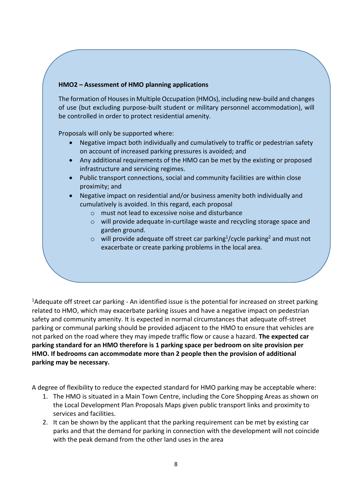### **HMO2 – Assessment of HMO planning applications**

The formation of Houses in Multiple Occupation (HMOs), including new-build and changes of use (but excluding purpose-built student or military personnel accommodation), will be controlled in order to protect residential amenity.

Proposals will only be supported where:

- Negative impact both individually and cumulatively to traffic or pedestrian safety on account of increased parking pressures is avoided; and
- Any additional requirements of the HMO can be met by the existing or proposed infrastructure and servicing regimes.
- Public transport connections, social and community facilities are within close proximity; and
- Negative impact on residential and/or business amenity both individually and cumulatively is avoided. In this regard, each proposal
	- o must not lead to excessive noise and disturbance
	- o will provide adequate in-curtilage waste and recycling storage space and garden ground.
	- $\circ$  will provide adequate off street car parking<sup>1</sup>/cycle parking<sup>2</sup> and must not exacerbate or create parking problems in the local area.

<sup>1</sup>Adequate off street car parking - An identified issue is the potential for increased on street parking related to HMO, which may exacerbate parking issues and have a negative impact on pedestrian safety and community amenity. It is expected in normal circumstances that adequate off-street parking or communal parking should be provided adjacent to the HMO to ensure that vehicles are not parked on the road where they may impede traffic flow or cause a hazard. **The expected car parking standard for an HMO therefore is 1 parking space per bedroom on site provision per HMO. If bedrooms can accommodate more than 2 people then the provision of additional parking may be necessary.** 

A degree of flexibility to reduce the expected standard for HMO parking may be acceptable where:

- 1. The HMO is situated in a Main Town Centre, including the Core Shopping Areas as shown on the Local Development Plan Proposals Maps given public transport links and proximity to services and facilities.
- 2. It can be shown by the applicant that the parking requirement can be met by existing car parks and that the demand for parking in connection with the development will not coincide with the peak demand from the other land uses in the area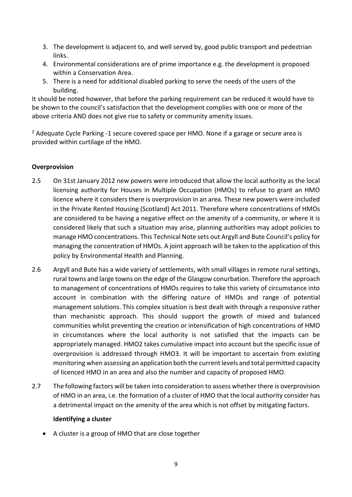- 3. The development is adjacent to, and well served by, good public transport and pedestrian links.
- 4. Environmental considerations are of prime importance e.g. the development is proposed within a Conservation Area.
- 5. There is a need for additional disabled parking to serve the needs of the users of the building.

It should be noted however, that before the parking requirement can be reduced it would have to be shown to the council's satisfaction that the development complies with one or more of the above criteria AND does not give rise to safety or community amenity issues.

<sup>2</sup> Adequate Cycle Parking -1 secure covered space per HMO. None if a garage or secure area is provided within curtilage of the HMO.

### **Overprovision**

- 2.5 On 31st January 2012 new powers were introduced that allow the local authority as the local licensing authority for Houses in Multiple Occupation (HMOs) to refuse to grant an HMO licence where it considers there is overprovision in an area. These new powers were included in the Private Rented Housing (Scotland) Act 2011. Therefore where concentrations of HMOs are considered to be having a negative effect on the amenity of a community, or where it is considered likely that such a situation may arise, planning authorities may adopt policies to manage HMO concentrations. This Technical Note sets out Argyll and Bute Council's policy for managing the concentration of HMOs. A joint approach will be taken to the application of this policy by Environmental Health and Planning.
- 2.6 Argyll and Bute has a wide variety of settlements, with small villages in remote rural settings, rural towns and large towns on the edge of the Glasgow conurbation. Therefore the approach to management of concentrations of HMOs requires to take this variety of circumstance into account in combination with the differing nature of HMOs and range of potential management solutions. This complex situation is best dealt with through a responsive rather than mechanistic approach. This should support the growth of mixed and balanced communities whilst preventing the creation or intensification of high concentrations of HMO in circumstances where the local authority is not satisfied that the impacts can be appropriately managed. HMO2 takes cumulative impact into account but the specific issue of overprovision is addressed through HMO3. It will be important to ascertain from existing monitoring when assessing an application both the current levels and total permitted capacity of licenced HMO in an area and also the number and capacity of proposed HMO.
- 2.7 The following factors will be taken into consideration to assess whether there is overprovision of HMO in an area, i.e. the formation of a cluster of HMO that the local authority consider has a detrimental impact on the amenity of the area which is not offset by mitigating factors.

### **Identifying a cluster**

A cluster is a group of HMO that are close together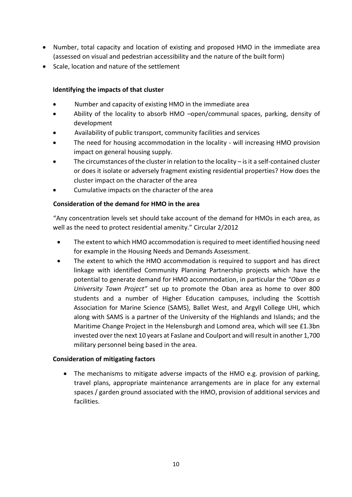- Number, total capacity and location of existing and proposed HMO in the immediate area (assessed on visual and pedestrian accessibility and the nature of the built form)
- Scale, location and nature of the settlement

## **Identifying the impacts of that cluster**

- Number and capacity of existing HMO in the immediate area
- Ability of the locality to absorb HMO –open/communal spaces, parking, density of development
- Availability of public transport, community facilities and services
- The need for housing accommodation in the locality will increasing HMO provision impact on general housing supply.
- The circumstances of the cluster in relation to the locality is it a self-contained cluster or does it isolate or adversely fragment existing residential properties? How does the cluster impact on the character of the area
- Cumulative impacts on the character of the area

## **Consideration of the demand for HMO in the area**

"Any concentration levels set should take account of the demand for HMOs in each area, as well as the need to protect residential amenity." Circular 2/2012

- The extent to which HMO accommodation is required to meet identified housing need for example in the Housing Needs and Demands Assessment.
- The extent to which the HMO accommodation is required to support and has direct linkage with identified Community Planning Partnership projects which have the potential to generate demand for HMO accommodation, in particular the *"Oban as a University Town Project"* set up to promote the Oban area as home to over 800 students and a number of Higher Education campuses, including the Scottish Association for Marine Science (SAMS), Ballet West, and Argyll College UHI, which along with SAMS is a partner of the University of the Highlands and Islands; and the Maritime Change Project in the Helensburgh and Lomond area, which will see £1.3bn invested over the next 10 years at Faslane and Coulport and will result in another 1,700 military personnel being based in the area.

### **Consideration of mitigating factors**

 The mechanisms to mitigate adverse impacts of the HMO e.g. provision of parking, travel plans, appropriate maintenance arrangements are in place for any external spaces / garden ground associated with the HMO, provision of additional services and facilities.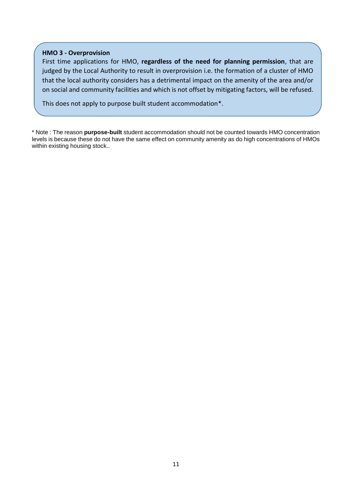#### **HMO 3 - Overprovision**

First time applications for HMO, **regardless of the need for planning permission**, that are judged by the Local Authority to result in overprovision i.e. the formation of a cluster of HMO that the local authority considers has a detrimental impact on the amenity of the area and/or on social and community facilities and which is not offset by mitigating factors, will be refused.

This does not apply to purpose built student accommodation\*.

\* Note : The reason **purpose-built** student accommodation should not be counted towards HMO concentration levels is because these do not have the same effect on community amenity as do high concentrations of HMOs within existing housing stock..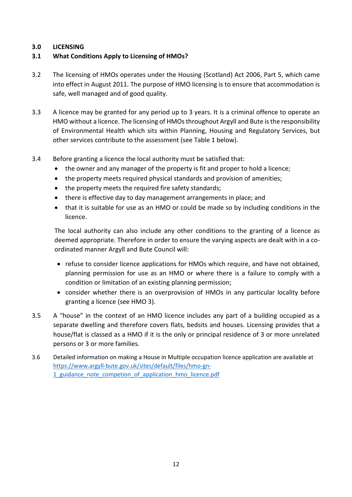### **3.0 LICENSING**

## **3.1 What Conditions Apply to Licensing of HMOs?**

- 3.2 The licensing of HMOs operates under the Housing (Scotland) Act 2006, Part 5, which came into effect in August 2011. The purpose of HMO licensing is to ensure that accommodation is safe, well managed and of good quality.
- 3.3 A licence may be granted for any period up to 3 years. It is a criminal offence to operate an HMO without a licence. The licensing of HMOs throughout Argyll and Bute is the responsibility of Environmental Health which sits within Planning, Housing and Regulatory Services, but other services contribute to the assessment (see Table 1 below).
- 3.4 Before granting a licence the local authority must be satisfied that:
	- the owner and any manager of the property is fit and proper to hold a licence;
	- the property meets required physical standards and provision of amenities;
	- the property meets the required fire safety standards;
	- there is effective day to day management arrangements in place; and
	- that it is suitable for use as an HMO or could be made so by including conditions in the licence.

The local authority can also include any other conditions to the granting of a licence as deemed appropriate. Therefore in order to ensure the varying aspects are dealt with in a coordinated manner Argyll and Bute Council will:

- refuse to consider licence applications for HMOs which require, and have not obtained, planning permission for use as an HMO or where there is a failure to comply with a condition or limitation of an existing planning permission;
- consider whether there is an overprovision of HMOs in any particular locality before granting a licence (see HMO 3).
- 3.5 A "house" in the context of an HMO licence includes any part of a building occupied as a separate dwelling and therefore covers flats, bedsits and houses. Licensing provides that a house/flat is classed as a HMO if it is the only or principal residence of 3 or more unrelated persons or 3 or more families.
- 3.6 Detailed information on making a House in Multiple occupation licence application are available at [https://www.argyll-bute.gov.uk/sites/default/files/hmo-gn-](https://www.argyll-bute.gov.uk/sites/default/files/hmo-gn-1_guidance_note_competion_of_application_hmo_licence.pdf)1 guidance note competion of application hmo licence.pdf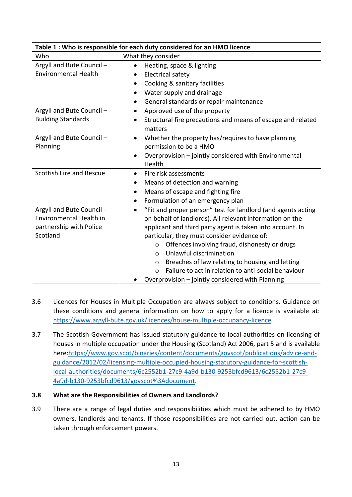| Table 1 : Who is responsible for each duty considered for an HMO licence |                                                                           |
|--------------------------------------------------------------------------|---------------------------------------------------------------------------|
| Who                                                                      | What they consider                                                        |
| Argyll and Bute Council -                                                | Heating, space & lighting                                                 |
| <b>Environmental Health</b>                                              | <b>Electrical safety</b>                                                  |
|                                                                          | Cooking & sanitary facilities<br>٠                                        |
|                                                                          | Water supply and drainage                                                 |
|                                                                          | General standards or repair maintenance<br>٠                              |
| Argyll and Bute Council -                                                | Approved use of the property<br>$\bullet$                                 |
| <b>Building Standards</b>                                                | Structural fire precautions and means of escape and related               |
|                                                                          | matters                                                                   |
| Argyll and Bute Council -                                                | Whether the property has/requires to have planning<br>$\bullet$           |
| Planning                                                                 | permission to be a HMO                                                    |
|                                                                          | Overprovision - jointly considered with Environmental                     |
|                                                                          | Health                                                                    |
| Scottish Fire and Rescue                                                 | Fire risk assessments                                                     |
|                                                                          | Means of detection and warning                                            |
|                                                                          | Means of escape and fighting fire<br>$\bullet$                            |
|                                                                          | Formulation of an emergency plan                                          |
| Argyll and Bute Council -                                                | "Fit and proper person" test for landlord (and agents acting<br>$\bullet$ |
| Environmental Health in                                                  | on behalf of landlords). All relevant information on the                  |
| partnership with Police                                                  | applicant and third party agent is taken into account. In                 |
| Scotland                                                                 | particular, they must consider evidence of:                               |
|                                                                          | Offences involving fraud, dishonesty or drugs<br>$\circ$                  |
|                                                                          | Unlawful discrimination<br>$\Omega$                                       |
|                                                                          | Breaches of law relating to housing and letting<br>$\circ$                |
|                                                                          | Failure to act in relation to anti-social behaviour<br>$\bigcap$          |
|                                                                          | Overprovision - jointly considered with Planning                          |

- 3.6 Licences for Houses in Multiple Occupation are always subject to conditions. Guidance on these conditions and general information on how to apply for a licence is available at: <https://www.argyll-bute.gov.uk/licences/house-multiple-occupancy-licence>
- 3.7 The Scottish Government has issued statutory guidance to local authorities on licensing of houses in multiple occupation under the Housing (Scotland) Act 2006, part 5 and is available here[:https://www.gov.scot/binaries/content/documents/govscot/publications/advice-and](https://www.gov.scot/binaries/content/documents/govscot/publications/advice-and-guidance/2012/02/licensing-multiple-occupied-housing-statutory-guidance-for-scottish-local-authorities/documents/6c2552b1-27c9-4a9d-b130-9253bfcd9613/6c2552b1-27c9-4a9d-b130-9253bfcd9613/govscot%3Adocument)[guidance/2012/02/licensing-multiple-occupied-housing-statutory-guidance-for-scottish](https://www.gov.scot/binaries/content/documents/govscot/publications/advice-and-guidance/2012/02/licensing-multiple-occupied-housing-statutory-guidance-for-scottish-local-authorities/documents/6c2552b1-27c9-4a9d-b130-9253bfcd9613/6c2552b1-27c9-4a9d-b130-9253bfcd9613/govscot%3Adocument)[local-authorities/documents/6c2552b1-27c9-4a9d-b130-9253bfcd9613/6c2552b1-27c9-](https://www.gov.scot/binaries/content/documents/govscot/publications/advice-and-guidance/2012/02/licensing-multiple-occupied-housing-statutory-guidance-for-scottish-local-authorities/documents/6c2552b1-27c9-4a9d-b130-9253bfcd9613/6c2552b1-27c9-4a9d-b130-9253bfcd9613/govscot%3Adocument) [4a9d-b130-9253bfcd9613/govscot%3Adocument](https://www.gov.scot/binaries/content/documents/govscot/publications/advice-and-guidance/2012/02/licensing-multiple-occupied-housing-statutory-guidance-for-scottish-local-authorities/documents/6c2552b1-27c9-4a9d-b130-9253bfcd9613/6c2552b1-27c9-4a9d-b130-9253bfcd9613/govscot%3Adocument).
- **3.8 What are the Responsibilities of Owners and Landlords?**
- 3.9 There are a range of legal duties and responsibilities which must be adhered to by HMO owners, landlords and tenants. If those responsibilities are not carried out, action can be taken through enforcement powers.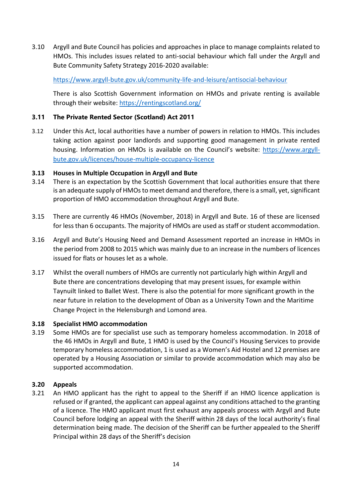3.10 Argyll and Bute Council has policies and approaches in place to manage complaints related to HMOs. This includes issues related to anti-social behaviour which fall under the Argyll and Bute Community Safety Strategy 2016-2020 available:

<https://www.argyll-bute.gov.uk/community-life-and-leisure/antisocial-behaviour>

There is also Scottish Government information on HMOs and private renting is available through their website:<https://rentingscotland.org/>

## **3.11 The Private Rented Sector (Scotland) Act 2011**

3.12 Under this Act, local authorities have a number of powers in relation to HMOs. This includes taking action against poor landlords and supporting good management in private rented housing. Information on HMOs is available on the Council's website: [https://www.argyll](https://www.argyll-bute.gov.uk/licences/house-multiple-occupancy-licence)[bute.gov.uk/licences/house-multiple-occupancy-licence](https://www.argyll-bute.gov.uk/licences/house-multiple-occupancy-licence)

### **3.13 Houses in Multiple Occupation in Argyll and Bute**

- 3.14 There is an expectation by the Scottish Government that local authorities ensure that there is an adequate supply of HMOs to meet demand and therefore, there is a small, yet, significant proportion of HMO accommodation throughout Argyll and Bute.
- 3.15 There are currently 46 HMOs (November, 2018) in Argyll and Bute. 16 of these are licensed for less than 6 occupants. The majority of HMOs are used as staff or student accommodation.
- 3.16 Argyll and Bute's Housing Need and Demand Assessment reported an increase in HMOs in the period from 2008 to 2015 which was mainly due to an increase in the numbers of licences issued for flats or houses let as a whole.
- 3.17 Whilst the overall numbers of HMOs are currently not particularly high within Argyll and Bute there are concentrations developing that may present issues, for example within Taynuilt linked to Ballet West. There is also the potential for more significant growth in the near future in relation to the development of Oban as a University Town and the Maritime Change Project in the Helensburgh and Lomond area.

### **3.18 Specialist HMO accommodation**

3.19 Some HMOs are for specialist use such as temporary homeless accommodation. In 2018 of the 46 HMOs in Argyll and Bute, 1 HMO is used by the Council's Housing Services to provide temporary homeless accommodation, 1 is used as a Women's Aid Hostel and 12 premises are operated by a Housing Association or similar to provide accommodation which may also be supported accommodation.

### **3.20 Appeals**

3.21 An HMO applicant has the right to appeal to the Sheriff if an HMO licence application is refused or if granted, the applicant can appeal against any conditions attached to the granting of a licence. The HMO applicant must first exhaust any appeals process with Argyll and Bute Council before lodging an appeal with the Sheriff within 28 days of the local authority's final determination being made. The decision of the Sheriff can be further appealed to the Sheriff Principal within 28 days of the Sheriff's decision